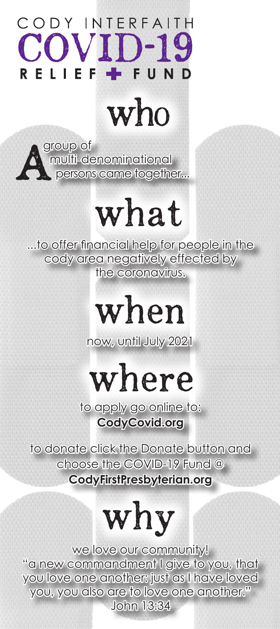#### ODY INTERFAITH COVID-19 FUND LIE FS

### who

group of multi-denominational persons came together...

# what

...to offer financial help for people in the cody area negatively effected by the coronavirus.

### when

now, until July 2021

where

to apply go online to: **CodyCovid.org**

to donate click the Donate button and choose the COVID-19 Fund @ **CodyFirstPresbyterian.org**

## why

we love our community! "a new commandment I give to you, that you love one another: just as I have loved you, you also are to love one another." John 13:34